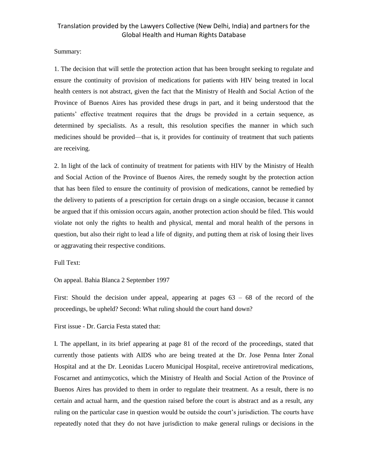#### Summary:

1. The decision that will settle the protection action that has been brought seeking to regulate and ensure the continuity of provision of medications for patients with HIV being treated in local health centers is not abstract, given the fact that the Ministry of Health and Social Action of the Province of Buenos Aires has provided these drugs in part, and it being understood that the patients' effective treatment requires that the drugs be provided in a certain sequence, as determined by specialists. As a result, this resolution specifies the manner in which such medicines should be provided—that is, it provides for continuity of treatment that such patients are receiving.

2. In light of the lack of continuity of treatment for patients with HIV by the Ministry of Health and Social Action of the Province of Buenos Aires, the remedy sought by the protection action that has been filed to ensure the continuity of provision of medications, cannot be remedied by the delivery to patients of a prescription for certain drugs on a single occasion, because it cannot be argued that if this omission occurs again, another protection action should be filed. This would violate not only the rights to health and physical, mental and moral health of the persons in question, but also their right to lead a life of dignity, and putting them at risk of losing their lives or aggravating their respective conditions.

Full Text:

On appeal. Bahia Blanca 2 September 1997

First: Should the decision under appeal, appearing at pages  $63 - 68$  of the record of the proceedings, be upheld? Second: What ruling should the court hand down?

First issue - Dr. Garcia Festa stated that:

I. The appellant, in its brief appearing at page 81 of the record of the proceedings, stated that currently those patients with AIDS who are being treated at the Dr. Jose Penna Inter Zonal Hospital and at the Dr. Leonidas Lucero Municipal Hospital, receive antiretroviral medications, Foscarnet and antimycotics, which the Ministry of Health and Social Action of the Province of Buenos Aires has provided to them in order to regulate their treatment. As a result, there is no certain and actual harm, and the question raised before the court is abstract and as a result, any ruling on the particular case in question would be outside the court's jurisdiction. The courts have repeatedly noted that they do not have jurisdiction to make general rulings or decisions in the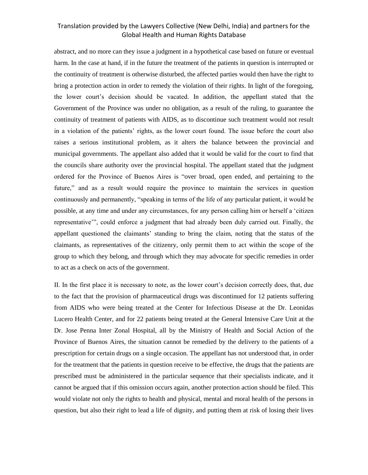abstract, and no more can they issue a judgment in a hypothetical case based on future or eventual harm. In the case at hand, if in the future the treatment of the patients in question is interrupted or the continuity of treatment is otherwise disturbed, the affected parties would then have the right to bring a protection action in order to remedy the violation of their rights. In light of the foregoing, the lower court's decision should be vacated. In addition, the appellant stated that the Government of the Province was under no obligation, as a result of the ruling, to guarantee the continuity of treatment of patients with AIDS, as to discontinue such treatment would not result in a violation of the patients' rights, as the lower court found. The issue before the court also raises a serious institutional problem, as it alters the balance between the provincial and municipal governments. The appellant also added that it would be valid for the court to find that the councils share authority over the provincial hospital. The appellant stated that the judgment ordered for the Province of Buenos Aires is "over broad, open ended, and pertaining to the future," and as a result would require the province to maintain the services in question continuously and permanently, "speaking in terms of the life of any particular patient, it would be possible, at any time and under any circumstances, for any person calling him or herself a 'citizen representative'", could enforce a judgment that had already been duly carried out. Finally, the appellant questioned the claimants' standing to bring the claim, noting that the status of the claimants, as representatives of the citizenry, only permit them to act within the scope of the group to which they belong, and through which they may advocate for specific remedies in order to act as a check on acts of the government.

II. In the first place it is necessary to note, as the lower court's decision correctly does, that, due to the fact that the provision of pharmaceutical drugs was discontinued for 12 patients suffering from AIDS who were being treated at the Center for Infectious Disease at the Dr. Leonidas Lucero Health Center, and for 22 patients being treated at the General Intensive Care Unit at the Dr. Jose Penna Inter Zonal Hospital, all by the Ministry of Health and Social Action of the Province of Buenos Aires, the situation cannot be remedied by the delivery to the patients of a prescription for certain drugs on a single occasion. The appellant has not understood that, in order for the treatment that the patients in question receive to be effective, the drugs that the patients are prescribed must be administered in the particular sequence that their specialists indicate, and it cannot be argued that if this omission occurs again, another protection action should be filed. This would violate not only the rights to health and physical, mental and moral health of the persons in question, but also their right to lead a life of dignity, and putting them at risk of losing their lives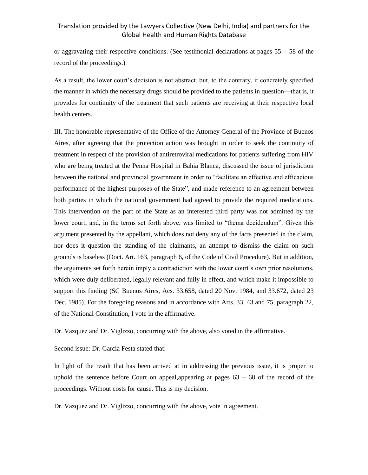or aggravating their respective conditions. (See testimonial declarations at pages 55 – 58 of the record of the proceedings.)

As a result, the lower court's decision is not abstract, but, to the contrary, it concretely specified the manner in which the necessary drugs should be provided to the patients in question—that is, it provides for continuity of the treatment that such patients are receiving at their respective local health centers.

III. The honorable representative of the Office of the Attorney General of the Province of Buenos Aires, after agreeing that the protection action was brought in order to seek the continuity of treatment in respect of the provision of antiretroviral medications for patients suffering from HIV who are being treated at the Penna Hospital in Bahia Blanca, discussed the issue of jurisdiction between the national and provincial government in order to "facilitate an effective and efficacious performance of the highest purposes of the State", and made reference to an agreement between both parties in which the national government had agreed to provide the required medications. This intervention on the part of the State as an interested third party was not admitted by the lower court, and, in the terms set forth above, was limited to "thema decidendum". Given this argument presented by the appellant, which does not deny any of the facts presented in the claim, nor does it question the standing of the claimants, an attempt to dismiss the claim on such grounds is baseless (Doct. Art. 163, paragraph 6, of the Code of Civil Procedure). But in addition, the arguments set forth herein imply a contradiction with the lower court's own prior resolutions, which were duly deliberated, legally relevant and fully in effect, and which make it impossible to support this finding (SC Buenos Aires, Acs. 33.658, dated 20 Nov. 1984, and 33.672, dated 23 Dec. 1985). For the foregoing reasons and in accordance with Arts. 33, 43 and 75, paragraph 22, of the National Constitution, I vote in the affirmative.

Dr. Vazquez and Dr. Viglizzo, concurring with the above, also voted in the affirmative.

Second issue: Dr. Garcia Festa stated that:

In light of the result that has been arrived at in addressing the previous issue, it is proper to uphold the sentence before Court on appeal, appearing at pages  $63 - 68$  of the record of the proceedings. Without costs for cause. This is my decision.

Dr. Vazquez and Dr. Viglizzo, concurring with the above, vote in agreement.